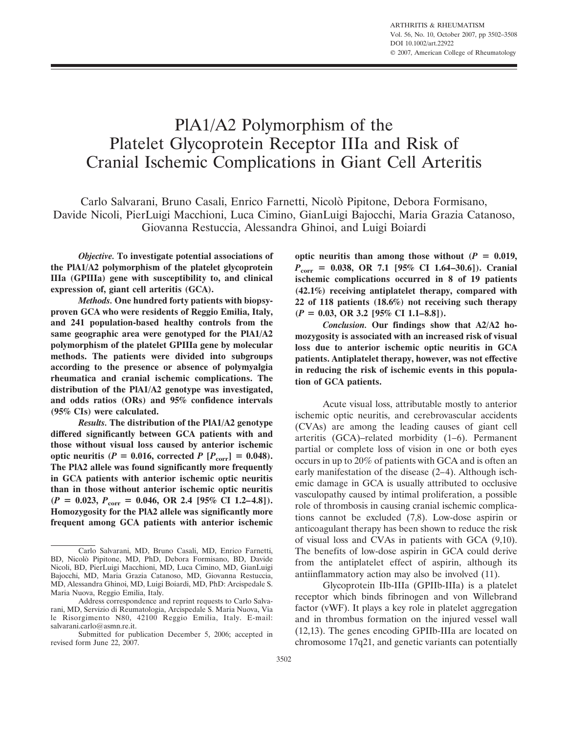# PlA1/A2 Polymorphism of the Platelet Glycoprotein Receptor IIIa and Risk of Cranial Ischemic Complications in Giant Cell Arteritis

Carlo Salvarani, Bruno Casali, Enrico Farnetti, Nicolò Pipitone, Debora Formisano, Davide Nicoli, PierLuigi Macchioni, Luca Cimino, GianLuigi Bajocchi, Maria Grazia Catanoso, Giovanna Restuccia, Alessandra Ghinoi, and Luigi Boiardi

*Objective.* **To investigate potential associations of the PlA1/A2 polymorphism of the platelet glycoprotein IIIa (GPIIIa) gene with susceptibility to, and clinical expression of, giant cell arteritis (GCA).**

*Methods.* **One hundred forty patients with biopsyproven GCA who were residents of Reggio Emilia, Italy, and 241 population-based healthy controls from the same geographic area were genotyped for the PlA1/A2 polymorphism of the platelet GPIIIa gene by molecular methods. The patients were divided into subgroups according to the presence or absence of polymyalgia rheumatica and cranial ischemic complications. The distribution of the PlA1/A2 genotype was investigated, and odds ratios (ORs) and 95% confidence intervals (95% CIs) were calculated.**

*Results.* **The distribution of the PlA1/A2 genotype differed significantly between GCA patients with and those without visual loss caused by anterior ischemic optic neuritis (***P* **= 0.016, corrected** *P* **[** $P_{corr}$ **] = 0.048). The PlA2 allele was found significantly more frequently in GCA patients with anterior ischemic optic neuritis than in those without anterior ischemic optic neuritis**  $(P = 0.023, P_{corr} = 0.046, OR 2.4 [95\% CI 1.2-4.8]).$ **Homozygosity for the PlA2 allele was significantly more frequent among GCA patients with anterior ischemic** **optic neuritis than among those without (** $P = 0.019$ **,** *P***corr 0.038, OR 7.1 [95% CI 1.64–30.6]). Cranial ischemic complications occurred in 8 of 19 patients (42.1%) receiving antiplatelet therapy, compared with 22 of 118 patients (18.6%) not receiving such therapy (***P* **0.03, OR 3.2 [95% CI 1.1–8.8]).**

*Conclusion.* **Our findings show that A2/A2 homozygosity is associated with an increased risk of visual loss due to anterior ischemic optic neuritis in GCA patients. Antiplatelet therapy, however, was not effective in reducing the risk of ischemic events in this population of GCA patients.**

Acute visual loss, attributable mostly to anterior ischemic optic neuritis, and cerebrovascular accidents (CVAs) are among the leading causes of giant cell arteritis (GCA)–related morbidity (1–6). Permanent partial or complete loss of vision in one or both eyes occurs in up to 20% of patients with GCA and is often an early manifestation of the disease (2–4). Although ischemic damage in GCA is usually attributed to occlusive vasculopathy caused by intimal proliferation, a possible role of thrombosis in causing cranial ischemic complications cannot be excluded (7,8). Low-dose aspirin or anticoagulant therapy has been shown to reduce the risk of visual loss and CVAs in patients with GCA (9,10). The benefits of low-dose aspirin in GCA could derive from the antiplatelet effect of aspirin, although its antiinflammatory action may also be involved (11).

Glycoprotein IIb-IIIa (GPIIb-IIIa) is a platelet receptor which binds fibrinogen and von Willebrand factor (vWF). It plays a key role in platelet aggregation and in thrombus formation on the injured vessel wall (12,13). The genes encoding GPIIb-IIIa are located on chromosome 17q21, and genetic variants can potentially

Carlo Salvarani, MD, Bruno Casali, MD, Enrico Farnetti, BD, Nicolo` Pipitone, MD, PhD, Debora Formisano, BD, Davide Nicoli, BD, PierLuigi Macchioni, MD, Luca Cimino, MD, GianLuigi Bajocchi, MD, Maria Grazia Catanoso, MD, Giovanna Restuccia, MD, Alessandra Ghinoi, MD, Luigi Boiardi, MD, PhD: Arcispedale S. Maria Nuova, Reggio Emilia, Italy.

Address correspondence and reprint requests to Carlo Salvarani, MD, Servizio di Reumatologia, Arcispedale S. Maria Nuova, Via le Risorgimento N80, 42100 Reggio Emilia, Italy. E-mail: salvarani.carlo@asmn.re.it.

Submitted for publication December 5, 2006; accepted in revised form June 22, 2007.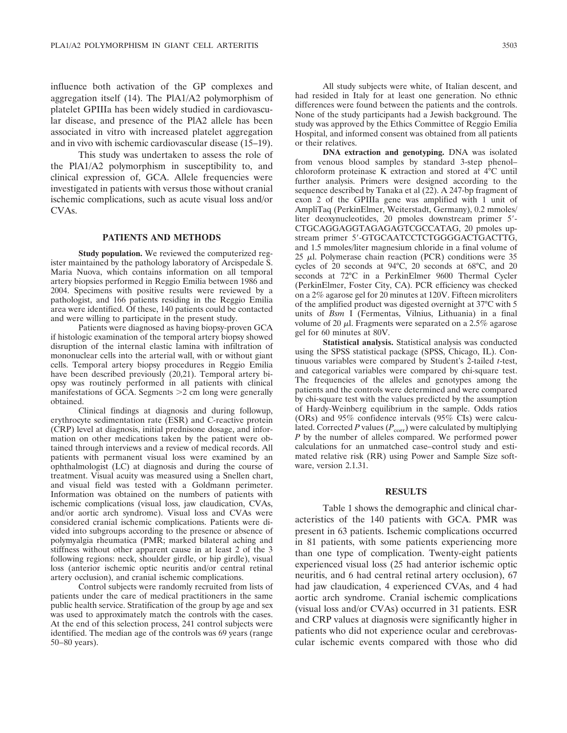influence both activation of the GP complexes and aggregation itself (14). The PlA1/A2 polymorphism of platelet GPIIIa has been widely studied in cardiovascular disease, and presence of the PlA2 allele has been associated in vitro with increased platelet aggregation and in vivo with ischemic cardiovascular disease (15–19).

This study was undertaken to assess the role of the PlA1/A2 polymorphism in susceptibility to, and clinical expression of, GCA. Allele frequencies were investigated in patients with versus those without cranial ischemic complications, such as acute visual loss and/or CVAs.

## **PATIENTS AND METHODS**

**Study population.** We reviewed the computerized register maintained by the pathology laboratory of Arcispedale S. Maria Nuova, which contains information on all temporal artery biopsies performed in Reggio Emilia between 1986 and 2004. Specimens with positive results were reviewed by a pathologist, and 166 patients residing in the Reggio Emilia area were identified. Of these, 140 patients could be contacted and were willing to participate in the present study.

Patients were diagnosed as having biopsy-proven GCA if histologic examination of the temporal artery biopsy showed disruption of the internal elastic lamina with infiltration of mononuclear cells into the arterial wall, with or without giant cells. Temporal artery biopsy procedures in Reggio Emilia have been described previously (20,21). Temporal artery biopsy was routinely performed in all patients with clinical manifestations of GCA. Segments  $>2$  cm long were generally obtained.

Clinical findings at diagnosis and during followup, erythrocyte sedimentation rate (ESR) and C-reactive protein (CRP) level at diagnosis, initial prednisone dosage, and information on other medications taken by the patient were obtained through interviews and a review of medical records. All patients with permanent visual loss were examined by an ophthalmologist (LC) at diagnosis and during the course of treatment. Visual acuity was measured using a Snellen chart, and visual field was tested with a Goldmann perimeter. Information was obtained on the numbers of patients with ischemic complications (visual loss, jaw claudication, CVAs, and/or aortic arch syndrome). Visual loss and CVAs were considered cranial ischemic complications. Patients were divided into subgroups according to the presence or absence of polymyalgia rheumatica (PMR; marked bilateral aching and stiffness without other apparent cause in at least 2 of the 3 following regions: neck, shoulder girdle, or hip girdle), visual loss (anterior ischemic optic neuritis and/or central retinal artery occlusion), and cranial ischemic complications.

Control subjects were randomly recruited from lists of patients under the care of medical practitioners in the same public health service. Stratification of the group by age and sex was used to approximately match the controls with the cases. At the end of this selection process, 241 control subjects were identified. The median age of the controls was 69 years (range 50–80 years).

All study subjects were white, of Italian descent, and had resided in Italy for at least one generation. No ethnic differences were found between the patients and the controls. None of the study participants had a Jewish background. The study was approved by the Ethics Committee of Reggio Emilia Hospital, and informed consent was obtained from all patients or their relatives.

**DNA extraction and genotyping.** DNA was isolated from venous blood samples by standard 3-step phenol– chloroform proteinase K extraction and stored at 4°C until further analysis. Primers were designed according to the sequence described by Tanaka et al (22). A 247-bp fragment of exon 2 of the GPIIIa gene was amplified with 1 unit of AmpliTaq (PerkinElmer, Weiterstadt, Germany), 0.2 mmoles/ liter deoxynucleotides, 20 pmoles downstream primer 5'-CTGCAGGAGGTAGAGAGTCGCCATAG, 20 pmoles upstream primer 5'-GTGCAATCCTCTGGGGACTGACTTG, and 1.5 mmoles/liter magnesium chloride in a final volume of 25  $\mu$ l. Polymerase chain reaction (PCR) conditions were 35 cycles of 20 seconds at 94°C, 20 seconds at 68°C, and 20 seconds at 72°C in a PerkinElmer 9600 Thermal Cycler (PerkinElmer, Foster City, CA). PCR efficiency was checked on a 2% agarose gel for 20 minutes at 120V. Fifteen microliters of the amplified product was digested overnight at 37°C with 5 units of *Bsm* I (Fermentas, Vilnius, Lithuania) in a final volume of 20  $\mu$ l. Fragments were separated on a 2.5% agarose gel for 60 minutes at 80V.

**Statistical analysis.** Statistical analysis was conducted using the SPSS statistical package (SPSS, Chicago, IL). Continuous variables were compared by Student's 2-tailed *t*-test, and categorical variables were compared by chi-square test. The frequencies of the alleles and genotypes among the patients and the controls were determined and were compared by chi-square test with the values predicted by the assumption of Hardy-Weinberg equilibrium in the sample. Odds ratios (ORs) and 95% confidence intervals (95% CIs) were calculated. Corrected *P* values  $(P_{corr})$  were calculated by multiplying *P* by the number of alleles compared. We performed power calculations for an unmatched case–control study and estimated relative risk (RR) using Power and Sample Size software, version 2.1.31.

## **RESULTS**

Table 1 shows the demographic and clinical characteristics of the 140 patients with GCA. PMR was present in 63 patients. Ischemic complications occurred in 81 patients, with some patients experiencing more than one type of complication. Twenty-eight patients experienced visual loss (25 had anterior ischemic optic neuritis, and 6 had central retinal artery occlusion), 67 had jaw claudication, 4 experienced CVAs, and 4 had aortic arch syndrome. Cranial ischemic complications (visual loss and/or CVAs) occurred in 31 patients. ESR and CRP values at diagnosis were significantly higher in patients who did not experience ocular and cerebrovascular ischemic events compared with those who did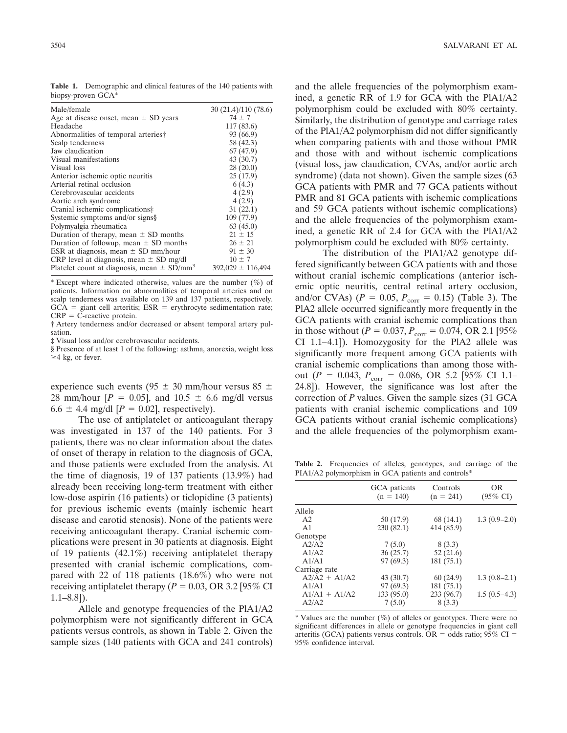|  | <b>Table 1.</b> Demographic and clinical features of the 140 patients with |  |  |  |  |
|--|----------------------------------------------------------------------------|--|--|--|--|
|  | biopsy-proven GCA*                                                         |  |  |  |  |

| Male/female                                                | 30 (21.4)/110 (78.6)  |
|------------------------------------------------------------|-----------------------|
| Age at disease onset, mean $\pm$ SD years                  | $74 \pm 7$            |
| Headache                                                   | 117(83.6)             |
| Abnormalities of temporal arteries                         | 93 (66.9)             |
| Scalp tenderness                                           | 58 (42.3)             |
| Jaw claudication                                           | 67(47.9)              |
| Visual manifestations                                      | 43(30.7)              |
| Visual loss                                                | 28(20.0)              |
| Anterior ischemic optic neuritis                           | 25(17.9)              |
| Arterial retinal occlusion                                 | 6(4.3)                |
| Cerebrovascular accidents                                  | 4(2.9)                |
| Aortic arch syndrome                                       | 4(2.9)                |
| Cranial ischemic complications:                            | 31(22.1)              |
| Systemic symptoms and/or signs§                            | 109(77.9)             |
| Polymyalgia rheumatica                                     | 63(45.0)              |
| Duration of therapy, mean $\pm$ SD months                  | $21 \pm 15$           |
| Duration of followup, mean $\pm$ SD months                 | $26 \pm 21$           |
| ESR at diagnosis, mean $\pm$ SD mm/hour                    | $91 \pm 30$           |
| CRP level at diagnosis, mean $\pm$ SD mg/dl                | $10 \pm 7$            |
| Platelet count at diagnosis, mean $\pm$ SD/mm <sup>3</sup> | $392,029 \pm 116,494$ |

\* Except where indicated otherwise, values are the number  $(\%)$  of patients. Information on abnormalities of temporal arteries and on scalp tenderness was available on 139 and 137 patients, respectively.  $GCA$  = giant cell arteritis;  $ESR$  = erythrocyte sedimentation rate;  $CRP = \overline{C}$ -reactive protein.

† Artery tenderness and/or decreased or absent temporal artery pulsation.

‡ Visual loss and/or cerebrovascular accidents.

§ Presence of at least 1 of the following: asthma, anorexia, weight loss  $\geq$ 4 kg, or fever.

experience such events (95  $\pm$  30 mm/hour versus 85  $\pm$ 28 mm/hour  $[P = 0.05]$ , and  $10.5 \pm 6.6$  mg/dl versus 6.6  $\pm$  4.4 mg/dl [ $P = 0.02$ ], respectively).

The use of antiplatelet or anticoagulant therapy was investigated in 137 of the 140 patients. For 3 patients, there was no clear information about the dates of onset of therapy in relation to the diagnosis of GCA, and those patients were excluded from the analysis. At the time of diagnosis, 19 of 137 patients (13.9%) had already been receiving long-term treatment with either low-dose aspirin (16 patients) or ticlopidine (3 patients) for previous ischemic events (mainly ischemic heart disease and carotid stenosis). None of the patients were receiving anticoagulant therapy. Cranial ischemic complications were present in 30 patients at diagnosis. Eight of 19 patients (42.1%) receiving antiplatelet therapy presented with cranial ischemic complications, compared with 22 of 118 patients (18.6%) who were not receiving antiplatelet therapy ( $P = 0.03$ , OR 3.2 [95\% CI 1.1–8.8]).

Allele and genotype frequencies of the PlA1/A2 polymorphism were not significantly different in GCA patients versus controls, as shown in Table 2. Given the sample sizes (140 patients with GCA and 241 controls) and the allele frequencies of the polymorphism examined, a genetic RR of 1.9 for GCA with the PlA1/A2 polymorphism could be excluded with 80% certainty. Similarly, the distribution of genotype and carriage rates of the PlA1/A2 polymorphism did not differ significantly when comparing patients with and those without PMR and those with and without ischemic complications (visual loss, jaw claudication, CVAs, and/or aortic arch syndrome) (data not shown). Given the sample sizes (63 GCA patients with PMR and 77 GCA patients without PMR and 81 GCA patients with ischemic complications and 59 GCA patients without ischemic complications) and the allele frequencies of the polymorphism examined, a genetic RR of 2.4 for GCA with the PlA1/A2 polymorphism could be excluded with 80% certainty.

The distribution of the PlA1/A2 genotype differed significantly between GCA patients with and those without cranial ischemic complications (anterior ischemic optic neuritis, central retinal artery occlusion, and/or CVAs) ( $P = 0.05$ ,  $P_{corr} = 0.15$ ) (Table 3). The PlA2 allele occurred significantly more frequently in the GCA patients with cranial ischemic complications than in those without ( $P = 0.037$ ,  $P_{corr} = 0.074$ , OR 2.1 [95%] CI 1.1–4.1]). Homozygosity for the PlA2 allele was significantly more frequent among GCA patients with cranial ischemic complications than among those without (*P* = 0.043,  $P_{\text{corr}}$  = 0.086, OR 5.2 [95% CI 1.1– 24.8]). However, the significance was lost after the correction of *P* values. Given the sample sizes (31 GCA patients with cranial ischemic complications and 109 GCA patients without cranial ischemic complications) and the allele frequencies of the polymorphism exam-

**Table 2.** Frequencies of alleles, genotypes, and carriage of the PIA1/A2 polymorphism in GCA patients and controls\*

|                 | GCA patients<br>$(n = 140)$ | Controls<br>$(n = 241)$ | <b>OR</b><br>$(95\% \text{ CI})$ |
|-----------------|-----------------------------|-------------------------|----------------------------------|
| Allele          |                             |                         |                                  |
| A <sub>2</sub>  | 50 (17.9)                   | 68 (14.1)               | $1.3(0.9-2.0)$                   |
| A <sub>1</sub>  | 230(82.1)                   | 414 (85.9)              |                                  |
| Genotype        |                             |                         |                                  |
| A2/A2           | 7(5.0)                      | 8(3.3)                  |                                  |
| A1/A2           | 36(25.7)                    | 52(21.6)                |                                  |
| A1/A1           | 97(69.3)                    | 181(75.1)               |                                  |
| Carriage rate   |                             |                         |                                  |
| $A2/A2 + A1/A2$ | 43(30.7)                    | 60(24.9)                | $1.3(0.8-2.1)$                   |
| A1/A1           | 97(69.3)                    | 181(75.1)               |                                  |
| $A1/A1 + A1/A2$ | 133 (95.0)                  | 233 (96.7)              | $1.5(0.5-4.3)$                   |
| A2/A2           | 7(5.0)                      | 8(3.3)                  |                                  |

\* Values are the number  $(\%)$  of alleles or genotypes. There were no significant differences in allele or genotype frequencies in giant cell arteritis (GCA) patients versus controls. OR = odds ratio;  $95\%$  CI = 95% confidence interval.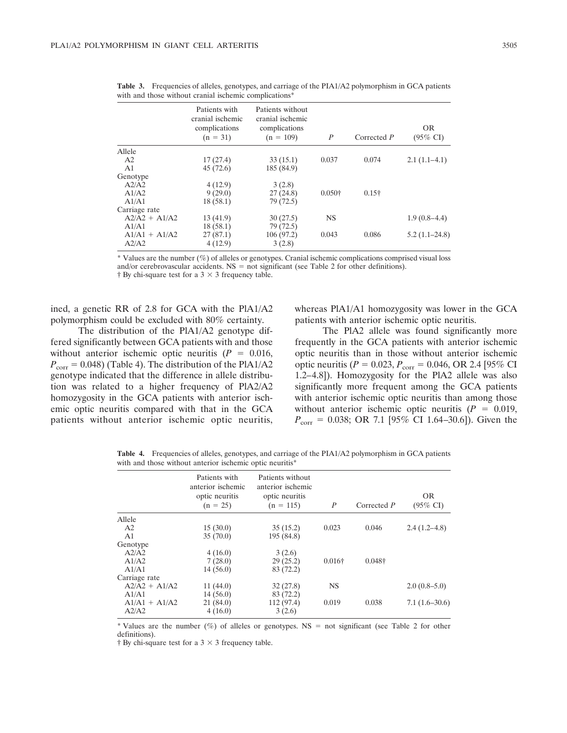|                 | Patients with<br>cranial ischemic<br>complications<br>$(n = 31)$ | Patients without<br>cranial ischemic<br>complications<br>$(n = 109)$ | $\boldsymbol{P}$ | Corrected P   | <b>OR</b><br>$(95\% \text{ CI})$ |
|-----------------|------------------------------------------------------------------|----------------------------------------------------------------------|------------------|---------------|----------------------------------|
| Allele          |                                                                  |                                                                      |                  |               |                                  |
| A <sub>2</sub>  | 17(27.4)                                                         | 33(15.1)                                                             | 0.037            | 0.074         | $2.1(1.1-4.1)$                   |
| A <sub>1</sub>  | 45(72.6)                                                         | 185 (84.9)                                                           |                  |               |                                  |
| Genotype        |                                                                  |                                                                      |                  |               |                                  |
| A2/A2           | 4(12.9)                                                          | 3(2.8)                                                               |                  |               |                                  |
| A1/A2           | 9(29.0)                                                          | 27(24.8)                                                             | $0.050\dagger$   | $0.15\dagger$ |                                  |
| A1/A1           | 18(58.1)                                                         | 79 (72.5)                                                            |                  |               |                                  |
| Carriage rate   |                                                                  |                                                                      |                  |               |                                  |
| $A2/A2 + A1/A2$ | 13(41.9)                                                         | 30(27.5)                                                             | <b>NS</b>        |               | $1.9(0.8-4.4)$                   |
| A1/A1           | 18(58.1)                                                         | 79 (72.5)                                                            |                  |               |                                  |
| $A1/A1 + A1/A2$ | 27(87.1)                                                         | 106(97.2)                                                            | 0.043            | 0.086         | $5.2(1.1-24.8)$                  |
| A2/A2           | 4(12.9)                                                          | 3(2.8)                                                               |                  |               |                                  |

**Table 3.** Frequencies of alleles, genotypes, and carriage of the PIA1/A2 polymorphism in GCA patients with and those without cranial ischemic complications\*

\* Values are the number (%) of alleles or genotypes. Cranial ischemic complications comprised visual loss and/or cerebrovascular accidents.  $NS = not$  significant (see Table 2 for other definitions).

 $\dagger$  By chi-square test for a 3  $\times$  3 frequency table.

ined, a genetic RR of 2.8 for GCA with the PlA1/A2 polymorphism could be excluded with 80% certainty.

The distribution of the PlA1/A2 genotype differed significantly between GCA patients with and those without anterior ischemic optic neuritis  $(P = 0.016,$  $P_{\text{corr}} = 0.048$ ) (Table 4). The distribution of the PlA1/A2 genotype indicated that the difference in allele distribution was related to a higher frequency of PlA2/A2 homozygosity in the GCA patients with anterior ischemic optic neuritis compared with that in the GCA patients without anterior ischemic optic neuritis,

whereas PlA1/A1 homozygosity was lower in the GCA patients with anterior ischemic optic neuritis.

The PlA2 allele was found significantly more frequently in the GCA patients with anterior ischemic optic neuritis than in those without anterior ischemic optic neuritis ( $P = 0.023$ ,  $P_{corr} = 0.046$ , OR 2.4 [95% CI 1.2–4.8]). Homozygosity for the PlA2 allele was also significantly more frequent among the GCA patients with anterior ischemic optic neuritis than among those without anterior ischemic optic neuritis  $(P = 0.019,$  $P_{\text{corr}} = 0.038$ ; OR 7.1 [95% CI 1.64–30.6]). Given the

**Table 4.** Frequencies of alleles, genotypes, and carriage of the PIA1/A2 polymorphism in GCA patients with and those without anterior ischemic optic neuritis\*

|                 | Patients with<br>anterior ischemic<br>optic neuritis<br>$(n = 25)$ | Patients without<br>anterior ischemic<br>optic neuritis<br>$(n = 115)$ | $\boldsymbol{P}$ | Corrected $P$  | <b>OR</b><br>$(95\% \text{ CI})$ |
|-----------------|--------------------------------------------------------------------|------------------------------------------------------------------------|------------------|----------------|----------------------------------|
| Allele          |                                                                    |                                                                        |                  |                |                                  |
| A2              | 15(30.0)                                                           | 35(15.2)                                                               | 0.023            | 0.046          | $2.4(1.2-4.8)$                   |
| A1              | 35(70.0)                                                           | 195 (84.8)                                                             |                  |                |                                  |
| Genotype        |                                                                    |                                                                        |                  |                |                                  |
| A2/A2           | 4(16.0)                                                            | 3(2.6)                                                                 |                  |                |                                  |
| A1/A2           | 7(28.0)                                                            | 29(25.2)                                                               | $0.016\dagger$   | $0.048\dagger$ |                                  |
| A1/A1           | 14(56.0)                                                           | 83 (72.2)                                                              |                  |                |                                  |
| Carriage rate   |                                                                    |                                                                        |                  |                |                                  |
| $A2/A2 + A1/A2$ | 11(44.0)                                                           | 32(27.8)                                                               | <b>NS</b>        |                | $2.0(0.8-5.0)$                   |
| A1/A1           | 14(56.0)                                                           | 83 (72.2)                                                              |                  |                |                                  |
| $A1/A1 + A1/A2$ | 21(84.0)                                                           | 112 (97.4)                                                             | 0.019            | 0.038          | $7.1(1.6-30.6)$                  |
| A2/A2           | 4(16.0)                                                            | 3(2.6)                                                                 |                  |                |                                  |

\* Values are the number  $(\%)$  of alleles or genotypes. NS = not significant (see Table 2 for other definitions).

 $\dagger$  By chi-square test for a 3  $\times$  3 frequency table.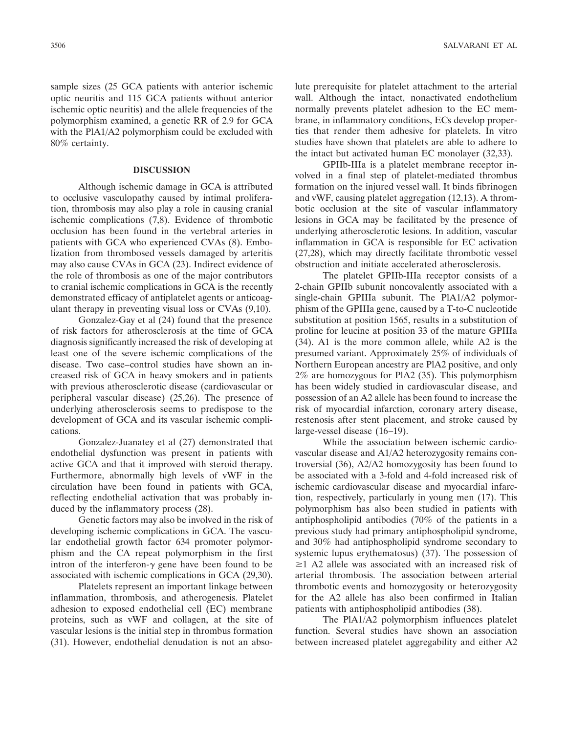sample sizes (25 GCA patients with anterior ischemic optic neuritis and 115 GCA patients without anterior ischemic optic neuritis) and the allele frequencies of the polymorphism examined, a genetic RR of 2.9 for GCA with the PlA1/A2 polymorphism could be excluded with 80% certainty.

### **DISCUSSION**

Although ischemic damage in GCA is attributed to occlusive vasculopathy caused by intimal proliferation, thrombosis may also play a role in causing cranial ischemic complications (7,8). Evidence of thrombotic occlusion has been found in the vertebral arteries in patients with GCA who experienced CVAs (8). Embolization from thrombosed vessels damaged by arteritis may also cause CVAs in GCA (23). Indirect evidence of the role of thrombosis as one of the major contributors to cranial ischemic complications in GCA is the recently demonstrated efficacy of antiplatelet agents or anticoagulant therapy in preventing visual loss or CVAs (9,10).

Gonzalez-Gay et al (24) found that the presence of risk factors for atherosclerosis at the time of GCA diagnosis significantly increased the risk of developing at least one of the severe ischemic complications of the disease. Two case–control studies have shown an increased risk of GCA in heavy smokers and in patients with previous atherosclerotic disease (cardiovascular or peripheral vascular disease) (25,26). The presence of underlying atherosclerosis seems to predispose to the development of GCA and its vascular ischemic complications.

Gonzalez-Juanatey et al (27) demonstrated that endothelial dysfunction was present in patients with active GCA and that it improved with steroid therapy. Furthermore, abnormally high levels of vWF in the circulation have been found in patients with GCA, reflecting endothelial activation that was probably induced by the inflammatory process (28).

Genetic factors may also be involved in the risk of developing ischemic complications in GCA. The vascular endothelial growth factor 634 promoter polymorphism and the CA repeat polymorphism in the first intron of the interferon- $\gamma$  gene have been found to be associated with ischemic complications in GCA (29,30).

Platelets represent an important linkage between inflammation, thrombosis, and atherogenesis. Platelet adhesion to exposed endothelial cell (EC) membrane proteins, such as vWF and collagen, at the site of vascular lesions is the initial step in thrombus formation (31). However, endothelial denudation is not an absolute prerequisite for platelet attachment to the arterial wall. Although the intact, nonactivated endothelium normally prevents platelet adhesion to the EC membrane, in inflammatory conditions, ECs develop properties that render them adhesive for platelets. In vitro studies have shown that platelets are able to adhere to the intact but activated human EC monolayer (32,33).

GPIIb-IIIa is a platelet membrane receptor involved in a final step of platelet-mediated thrombus formation on the injured vessel wall. It binds fibrinogen and vWF, causing platelet aggregation (12,13). A thrombotic occlusion at the site of vascular inflammatory lesions in GCA may be facilitated by the presence of underlying atherosclerotic lesions. In addition, vascular inflammation in GCA is responsible for EC activation (27,28), which may directly facilitate thrombotic vessel obstruction and initiate accelerated atherosclerosis.

The platelet GPIIb-IIIa receptor consists of a 2-chain GPIIb subunit noncovalently associated with a single-chain GPIIIa subunit. The PlA1/A2 polymorphism of the GPIIIa gene, caused by a T-to-C nucleotide substitution at position 1565, results in a substitution of proline for leucine at position 33 of the mature GPIIIa (34). A1 is the more common allele, while A2 is the presumed variant. Approximately 25% of individuals of Northern European ancestry are PlA2 positive, and only 2% are homozygous for PlA2 (35). This polymorphism has been widely studied in cardiovascular disease, and possession of an A2 allele has been found to increase the risk of myocardial infarction, coronary artery disease, restenosis after stent placement, and stroke caused by large-vessel disease (16–19).

While the association between ischemic cardiovascular disease and A1/A2 heterozygosity remains controversial (36), A2/A2 homozygosity has been found to be associated with a 3-fold and 4-fold increased risk of ischemic cardiovascular disease and myocardial infarction, respectively, particularly in young men (17). This polymorphism has also been studied in patients with antiphospholipid antibodies (70% of the patients in a previous study had primary antiphospholipid syndrome, and 30% had antiphospholipid syndrome secondary to systemic lupus erythematosus) (37). The possession of  $\geq$  1 A2 allele was associated with an increased risk of arterial thrombosis. The association between arterial thrombotic events and homozygosity or heterozygosity for the A2 allele has also been confirmed in Italian patients with antiphospholipid antibodies (38).

The PlA1/A2 polymorphism influences platelet function. Several studies have shown an association between increased platelet aggregability and either A2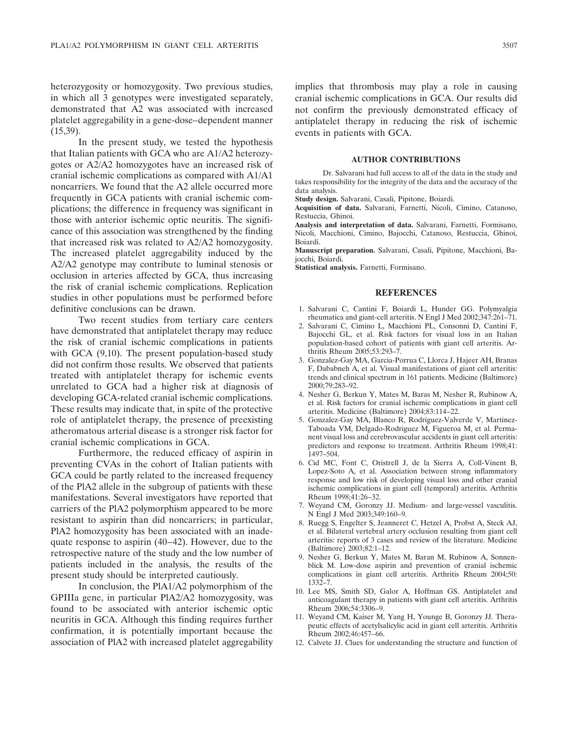heterozygosity or homozygosity. Two previous studies, in which all 3 genotypes were investigated separately, demonstrated that A2 was associated with increased platelet aggregability in a gene-dose–dependent manner (15,39).

In the present study, we tested the hypothesis that Italian patients with GCA who are A1/A2 heterozygotes or A2/A2 homozygotes have an increased risk of cranial ischemic complications as compared with A1/A1 noncarriers. We found that the A2 allele occurred more frequently in GCA patients with cranial ischemic complications; the difference in frequency was significant in those with anterior ischemic optic neuritis. The significance of this association was strengthened by the finding that increased risk was related to A2/A2 homozygosity. The increased platelet aggregability induced by the A2/A2 genotype may contribute to luminal stenosis or occlusion in arteries affected by GCA, thus increasing the risk of cranial ischemic complications. Replication studies in other populations must be performed before definitive conclusions can be drawn.

Two recent studies from tertiary care centers have demonstrated that antiplatelet therapy may reduce the risk of cranial ischemic complications in patients with GCA (9,10). The present population-based study did not confirm those results. We observed that patients treated with antiplatelet therapy for ischemic events unrelated to GCA had a higher risk at diagnosis of developing GCA-related cranial ischemic complications. These results may indicate that, in spite of the protective role of antiplatelet therapy, the presence of preexisting atheromatous arterial disease is a stronger risk factor for cranial ischemic complications in GCA.

Furthermore, the reduced efficacy of aspirin in preventing CVAs in the cohort of Italian patients with GCA could be partly related to the increased frequency of the PlA2 allele in the subgroup of patients with these manifestations. Several investigators have reported that carriers of the PlA2 polymorphism appeared to be more resistant to aspirin than did noncarriers; in particular, PlA2 homozygosity has been associated with an inadequate response to aspirin (40–42). However, due to the retrospective nature of the study and the low number of patients included in the analysis, the results of the present study should be interpreted cautiously.

In conclusion, the PlA1/A2 polymorphism of the GPIIIa gene, in particular PlA2/A2 homozygosity, was found to be associated with anterior ischemic optic neuritis in GCA. Although this finding requires further confirmation, it is potentially important because the association of PlA2 with increased platelet aggregability implies that thrombosis may play a role in causing cranial ischemic complications in GCA. Our results did not confirm the previously demonstrated efficacy of antiplatelet therapy in reducing the risk of ischemic events in patients with GCA.

#### **AUTHOR CONTRIBUTIONS**

Dr. Salvarani had full access to all of the data in the study and takes responsibility for the integrity of the data and the accuracy of the data analysis.

**Study design.** Salvarani, Casali, Pipitone, Boiardi.

**Acquisition of data.** Salvarani, Farnetti, Nicoli, Cimino, Catanoso, Restuccia, Ghinoi.

**Analysis and interpretation of data.** Salvarani, Farnetti, Formisano, Nicoli, Macchioni, Cimino, Bajocchi, Catanoso, Restuccia, Ghinoi, Boiardi.

**Manuscript preparation.** Salvarani, Casali, Pipitone, Macchioni, Bajocchi, Boiardi.

**Statistical analysis.** Farnetti, Formisano.

#### **REFERENCES**

- 1. Salvarani C, Cantini F, Boiardi L, Hunder GG. Polymyalgia rheumatica and giant-cell arteritis. N Engl J Med 2002;347:261–71.
- 2. Salvarani C, Cimino L, Macchioni PL, Consonni D, Cantini F, Bajocchi GL, et al. Risk factors for visual loss in an Italian population-based cohort of patients with giant cell arteritis. Arthritis Rheum 2005;53:293–7.
- 3. Gonzalez-Gay MA, Garcia-Porrua C, Llorca J, Hajeer AH, Branas F, Dababneh A, et al. Visual manifestations of giant cell arteritis: trends and clinical spectrum in 161 patients. Medicine (Baltimore) 2000;79:283–92.
- 4. Nesher G, Berkun Y, Mates M, Baras M, Nesher R, Rubinow A, et al. Risk factors for cranial ischemic complications in giant cell arteritis. Medicine (Baltimore) 2004;83:114–22.
- 5. Gonzalez-Gay MA, Blanco R, Rodriguez-Valverde V, Martinez-Taboada VM, Delgado-Rodriguez M, Figueroa M, et al. Permanent visual loss and cerebrovascular accidents in giant cell arteritis: predictors and response to treatment. Arthritis Rheum 1998;41: 1497–504.
- 6. Cid MC, Font C, Oristrell J, de la Sierra A, Coll-Vinent B, Lopez-Soto A, et al. Association between strong inflammatory response and low risk of developing visual loss and other cranial ischemic complications in giant cell (temporal) arteritis. Arthritis Rheum 1998;41:26–32.
- 7. Weyand CM, Goronzy JJ. Medium- and large-vessel vasculitis. N Engl J Med 2003;349:160–9.
- 8. Ruegg S, Engelter S, Jeanneret C, Hetzel A, Probst A, Steck AJ, et al. Bilateral vertebral artery occlusion resulting from giant cell arteritis: reports of 3 cases and review of the literature. Medicine (Baltimore) 2003;82:1–12.
- 9. Nesher G, Berkun Y, Mates M, Baran M, Rubinow A, Sonnenblick M. Low-dose aspirin and prevention of cranial ischemic complications in giant cell arteritis. Arthritis Rheum 2004;50: 1332–7.
- 10. Lee MS, Smith SD, Galor A, Hoffman GS. Antiplatelet and anticoagulant therapy in patients with giant cell arteritis. Arthritis Rheum 2006;54:3306–9.
- 11. Weyand CM, Kaiser M, Yang H, Younge B, Goronzy JJ. Therapeutic effects of acetylsalicylic acid in giant cell arteritis. Arthritis Rheum 2002;46:457–66.
- 12. Calvete JJ. Clues for understanding the structure and function of